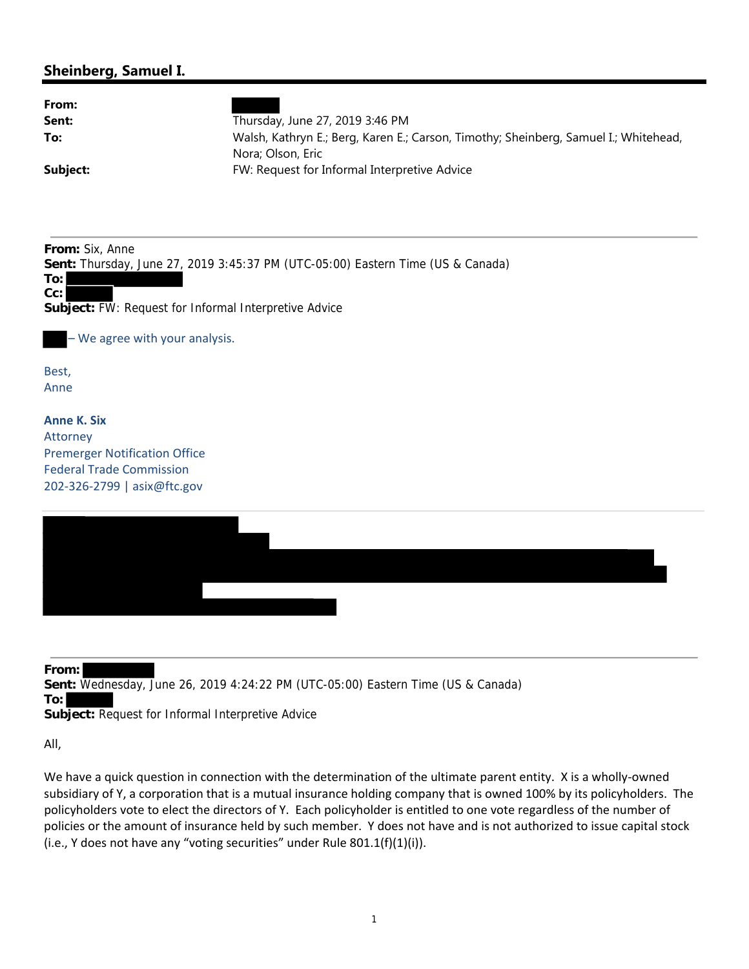## **Sheinberg, Samuel I.**

**From:**

**Sent:** Wednesday, June 26, 2019 4:24:22 PM (UTC-05:00) Eastern Time (US & Canada)

**To:**

**Subject:** Request for Informal Interpretive Advice

All,

We have a quick question in connection with the determination of the ultimate parent entity. X is a wholly‐owned subsidiary of Y, a corporation that is a mutual insurance holding company that is owned 100% by its policyholders. The policyholders vote to elect the directors of Y. Each policyholder is entitled to one vote regardless of the number of policies or the amount of insurance held by such member. Y does not have and is not authorized to issue capital stock (i.e., Y does not have any "voting securities" under Rule 801.1(f)(1)(i)).